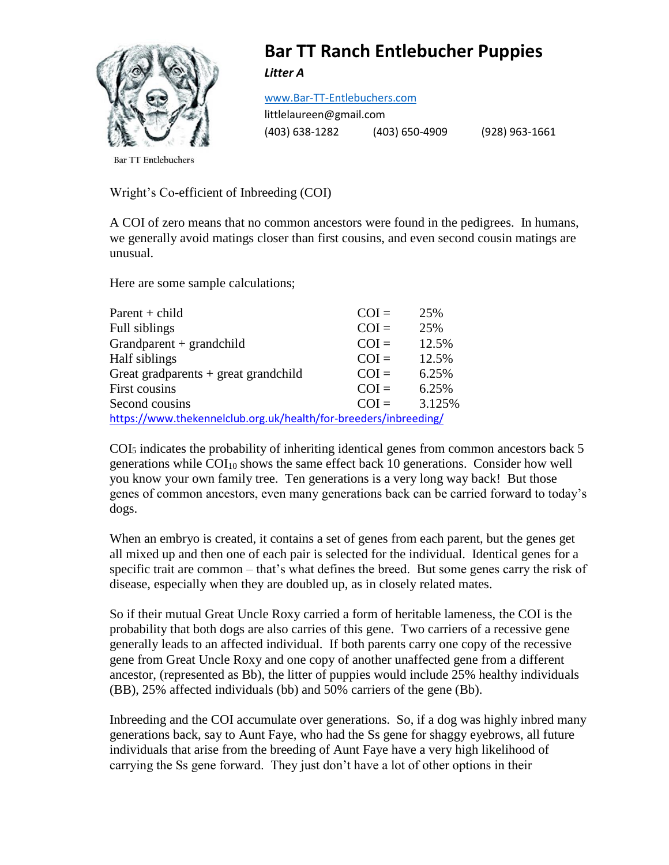

## **Bar TT Ranch Entlebucher Puppies**

*Litter A*

[www.Bar-TT-Entlebuchers.com](http://www.bar-tt-entlebuchers.com/)

littlelaureen@gmail.com (403) 638-1282 (403) 650-4909 (928) 963-1661

**Bar TT Entlebuchers** 

Wright's Co-efficient of Inbreeding (COI)

A COI of zero means that no common ancestors were found in the pedigrees. In humans, we generally avoid matings closer than first cousins, and even second cousin matings are unusual.

Here are some sample calculations;

| $Parent + child$                                                 | $COI =$ | 25%    |  |  |
|------------------------------------------------------------------|---------|--------|--|--|
| Full siblings                                                    | $COI =$ | 25%    |  |  |
| Grandparent + grandchild                                         | $COI =$ | 12.5%  |  |  |
| Half siblings                                                    | $COI =$ | 12.5%  |  |  |
| Great gradparents + great grandchild                             | $COI =$ | 6.25%  |  |  |
| First cousins                                                    | $COI =$ | 6.25%  |  |  |
| Second cousins                                                   | $COI =$ | 3.125% |  |  |
| https://www.thekennelclub.org.uk/health/for-breeders/inbreeding/ |         |        |  |  |

 $COI<sub>5</sub>$  indicates the probability of inheriting identical genes from common ancestors back 5 generations while  $COI<sub>10</sub>$  shows the same effect back 10 generations. Consider how well you know your own family tree. Ten generations is a very long way back! But those genes of common ancestors, even many generations back can be carried forward to today's dogs.

When an embryo is created, it contains a set of genes from each parent, but the genes get all mixed up and then one of each pair is selected for the individual. Identical genes for a specific trait are common – that's what defines the breed. But some genes carry the risk of disease, especially when they are doubled up, as in closely related mates.

So if their mutual Great Uncle Roxy carried a form of heritable lameness, the COI is the probability that both dogs are also carries of this gene. Two carriers of a recessive gene generally leads to an affected individual. If both parents carry one copy of the recessive gene from Great Uncle Roxy and one copy of another unaffected gene from a different ancestor, (represented as Bb), the litter of puppies would include 25% healthy individuals (BB), 25% affected individuals (bb) and 50% carriers of the gene (Bb).

Inbreeding and the COI accumulate over generations. So, if a dog was highly inbred many generations back, say to Aunt Faye, who had the Ss gene for shaggy eyebrows, all future individuals that arise from the breeding of Aunt Faye have a very high likelihood of carrying the Ss gene forward. They just don't have a lot of other options in their